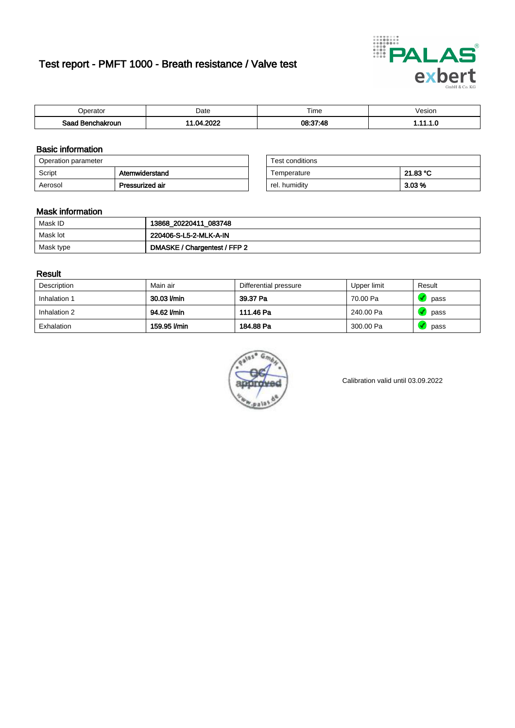# Test report - PMFT 1000 - Breath resistance / Valve test



| )perator               | Date               | $- \cdot$<br>Гіmе | esion |
|------------------------|--------------------|-------------------|-------|
| המס<br>hakroun<br>32 H | 2022<br>n.<br>78 Z | 08:37:48<br>טד.   | .     |

### Basic information

| Operation parameter |                 | Test conditions |          |
|---------------------|-----------------|-----------------|----------|
| Script              | Atemwiderstand  | Temperature     | 21.83 °C |
| Aerosol             | Pressurized air | rel. humidity   | $3.03\%$ |

| Test conditions |          |
|-----------------|----------|
| Temperature     | 21.83 °C |
| rel. humidity   | 3.03%    |

### Mask information

| Mask ID   | 13868_20220411_083748        |
|-----------|------------------------------|
| Mask lot  | 220406-S-L5-2-MLK-A-IN       |
| Mask type | DMASKE / Chargentest / FFP 2 |

### Result

| Description  | Main air     | Differential pressure | Upper limit | Result |
|--------------|--------------|-----------------------|-------------|--------|
| Inhalation 1 | 30.03 l/min  | 39.37 Pa              | 70.00 Pa    | pass   |
| Inhalation 2 | 94.62 l/min  | 111.46 Pa             | 240.00 Pa   | pass   |
| Exhalation   | 159.95 l/min | 184.88 Pa             | 300.00 Pa   | pass   |



Calibration valid until 03.09.2022